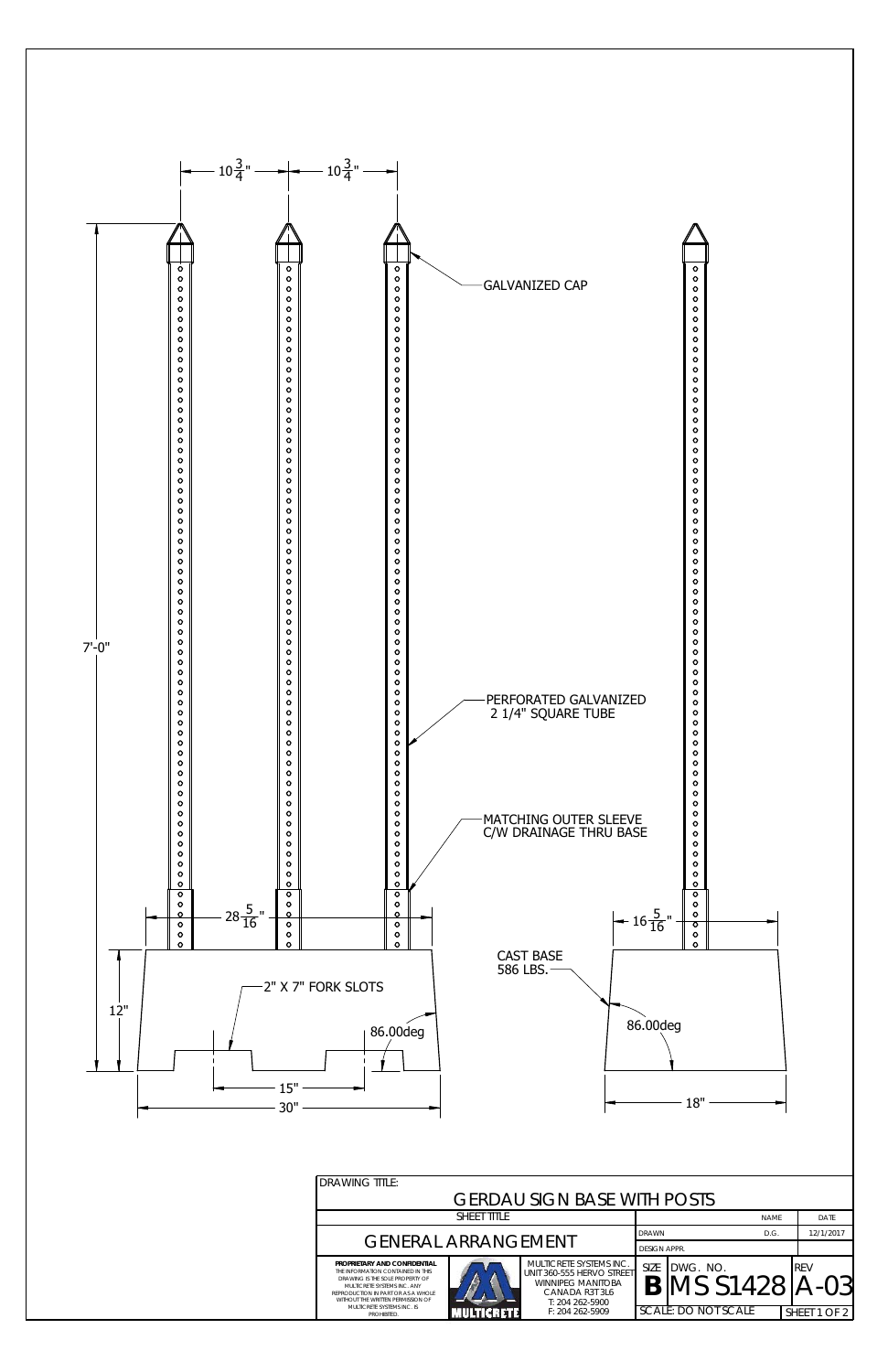| <b>DRAWING TITLE:</b>                                                                                                                                                                                          |  |                                                                                                                |                     |                               |  |              |
|----------------------------------------------------------------------------------------------------------------------------------------------------------------------------------------------------------------|--|----------------------------------------------------------------------------------------------------------------|---------------------|-------------------------------|--|--------------|
| <b>GERDAU SIGN BASE WITH POSTS</b>                                                                                                                                                                             |  |                                                                                                                |                     |                               |  |              |
| <b>SHEET TITLE</b>                                                                                                                                                                                             |  |                                                                                                                |                     | <b>NAME</b>                   |  | DATE         |
| <b>GENERAL ARRANGEMENT</b>                                                                                                                                                                                     |  |                                                                                                                |                     | <b>DRAWN</b><br>D.G.          |  | 12/1/2017    |
|                                                                                                                                                                                                                |  |                                                                                                                | <b>DESIGN APPR.</b> |                               |  |              |
| PROPRIETARY AND CONFIDENTIAL<br>THE INFORMATION CONTAINED IN THIS<br>DRAWING IS THE SOLE PROPERTY OF<br>MULTICRETE SYSTEMS INC. ANY<br>REPRODUCTION IN PART OR AS A WHOLE<br>WITHOUT THE WRITTEN PERMISSION OF |  | MULTICRETE SYSTEMS INC.<br>UNIT 360-555 HERVO STREET<br>WINNIPEG MANITOBA<br>CANADA R3T 3L6<br>T: 204 262-5900 | <b>SIZE</b>         | IDWG. NO.<br>IMS S1428   A-03 |  | <b>REV</b>   |
| MULTICRETE SYSTEMS INC. IS<br>PROHIBITED.                                                                                                                                                                      |  | $F: 204262 - 5909$                                                                                             |                     | SCALE: DO NOT SCALE           |  | SHEET 1 OF 2 |